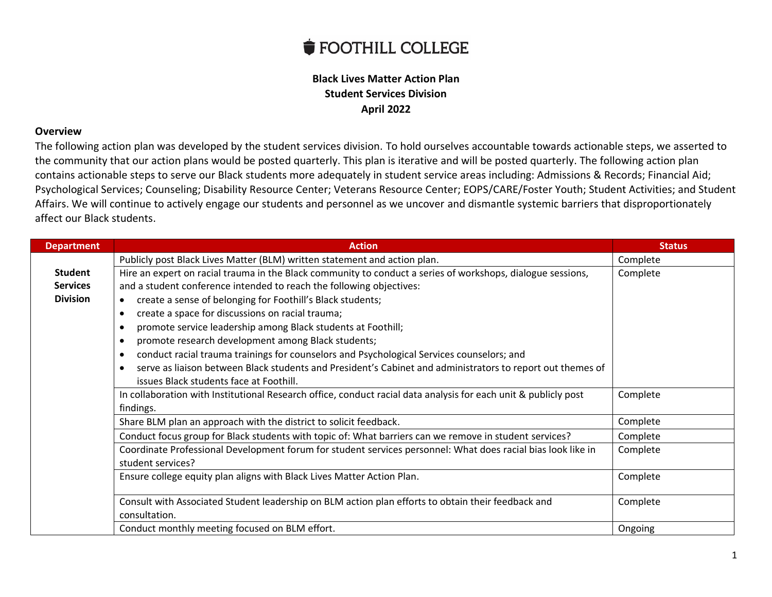## **SECOLE FOOTHILL COLLEGE**

## **Black Lives Matter Action Plan Student Services Division April 2022**

## **Overview**

The following action plan was developed by the student services division. To hold ourselves accountable towards actionable steps, we asserted to the community that our action plans would be posted quarterly. This plan is iterative and will be posted quarterly. The following action plan contains actionable steps to serve our Black students more adequately in student service areas including: Admissions & Records; Financial Aid; Psychological Services; Counseling; Disability Resource Center; Veterans Resource Center; EOPS/CARE/Foster Youth; Student Activities; and Student Affairs. We will continue to actively engage our students and personnel as we uncover and dismantle systemic barriers that disproportionately affect our Black students.

| <b>Department</b> | <b>Action</b>                                                                                                   | <b>Status</b> |
|-------------------|-----------------------------------------------------------------------------------------------------------------|---------------|
|                   | Publicly post Black Lives Matter (BLM) written statement and action plan.                                       | Complete      |
| <b>Student</b>    | Hire an expert on racial trauma in the Black community to conduct a series of workshops, dialogue sessions,     | Complete      |
| <b>Services</b>   | and a student conference intended to reach the following objectives:                                            |               |
| <b>Division</b>   | create a sense of belonging for Foothill's Black students;<br>$\bullet$                                         |               |
|                   | create a space for discussions on racial trauma;                                                                |               |
|                   | promote service leadership among Black students at Foothill;                                                    |               |
|                   | promote research development among Black students;                                                              |               |
|                   | conduct racial trauma trainings for counselors and Psychological Services counselors; and                       |               |
|                   | serve as liaison between Black students and President's Cabinet and administrators to report out themes of      |               |
|                   | issues Black students face at Foothill.                                                                         |               |
|                   | In collaboration with Institutional Research office, conduct racial data analysis for each unit & publicly post | Complete      |
|                   | findings.                                                                                                       |               |
|                   | Share BLM plan an approach with the district to solicit feedback.                                               | Complete      |
|                   | Conduct focus group for Black students with topic of: What barriers can we remove in student services?          | Complete      |
|                   | Coordinate Professional Development forum for student services personnel: What does racial bias look like in    | Complete      |
|                   | student services?                                                                                               |               |
|                   | Ensure college equity plan aligns with Black Lives Matter Action Plan.                                          | Complete      |
|                   |                                                                                                                 |               |
|                   | Consult with Associated Student leadership on BLM action plan efforts to obtain their feedback and              | Complete      |
|                   | consultation.                                                                                                   |               |
|                   | Conduct monthly meeting focused on BLM effort.                                                                  | Ongoing       |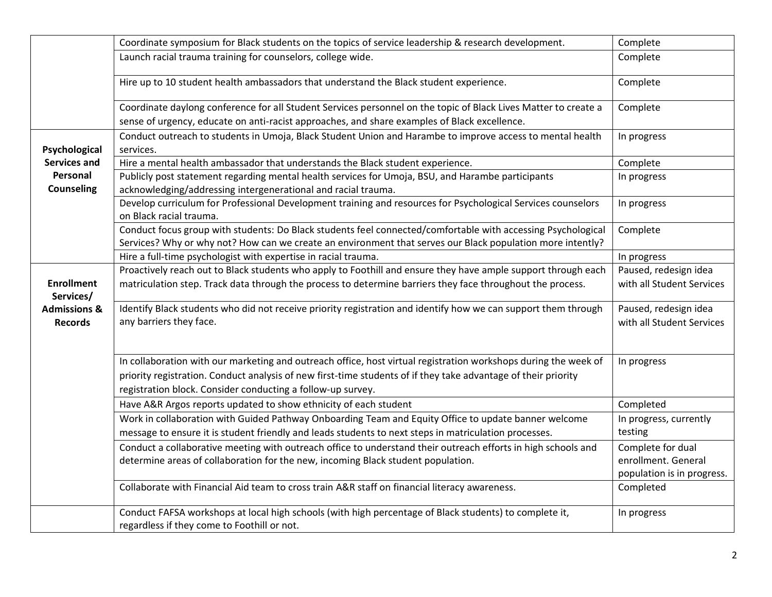|                                           | Coordinate symposium for Black students on the topics of service leadership & research development.                                                                                                                                                                                              | Complete                                                               |
|-------------------------------------------|--------------------------------------------------------------------------------------------------------------------------------------------------------------------------------------------------------------------------------------------------------------------------------------------------|------------------------------------------------------------------------|
|                                           | Launch racial trauma training for counselors, college wide.                                                                                                                                                                                                                                      | Complete                                                               |
|                                           | Hire up to 10 student health ambassadors that understand the Black student experience.                                                                                                                                                                                                           | Complete                                                               |
|                                           | Coordinate daylong conference for all Student Services personnel on the topic of Black Lives Matter to create a                                                                                                                                                                                  | Complete                                                               |
|                                           | sense of urgency, educate on anti-racist approaches, and share examples of Black excellence.                                                                                                                                                                                                     |                                                                        |
|                                           | Conduct outreach to students in Umoja, Black Student Union and Harambe to improve access to mental health                                                                                                                                                                                        | In progress                                                            |
| Psychological                             | services.                                                                                                                                                                                                                                                                                        |                                                                        |
| Services and                              | Hire a mental health ambassador that understands the Black student experience.                                                                                                                                                                                                                   | Complete                                                               |
| Personal<br><b>Counseling</b>             | Publicly post statement regarding mental health services for Umoja, BSU, and Harambe participants<br>acknowledging/addressing intergenerational and racial trauma.                                                                                                                               | In progress                                                            |
|                                           | Develop curriculum for Professional Development training and resources for Psychological Services counselors<br>on Black racial trauma.                                                                                                                                                          | In progress                                                            |
|                                           | Conduct focus group with students: Do Black students feel connected/comfortable with accessing Psychological<br>Services? Why or why not? How can we create an environment that serves our Black population more intently?                                                                       | Complete                                                               |
|                                           | Hire a full-time psychologist with expertise in racial trauma.                                                                                                                                                                                                                                   | In progress                                                            |
|                                           | Proactively reach out to Black students who apply to Foothill and ensure they have ample support through each                                                                                                                                                                                    | Paused, redesign idea                                                  |
| <b>Enrollment</b><br>Services/            | matriculation step. Track data through the process to determine barriers they face throughout the process.                                                                                                                                                                                       | with all Student Services                                              |
| <b>Admissions &amp;</b><br><b>Records</b> | Identify Black students who did not receive priority registration and identify how we can support them through<br>any barriers they face.                                                                                                                                                        | Paused, redesign idea<br>with all Student Services                     |
|                                           | In collaboration with our marketing and outreach office, host virtual registration workshops during the week of<br>priority registration. Conduct analysis of new first-time students of if they take advantage of their priority<br>registration block. Consider conducting a follow-up survey. | In progress                                                            |
|                                           | Have A&R Argos reports updated to show ethnicity of each student                                                                                                                                                                                                                                 | Completed                                                              |
|                                           | Work in collaboration with Guided Pathway Onboarding Team and Equity Office to update banner welcome<br>message to ensure it is student friendly and leads students to next steps in matriculation processes.                                                                                    | In progress, currently<br>testing                                      |
|                                           | Conduct a collaborative meeting with outreach office to understand their outreach efforts in high schools and<br>determine areas of collaboration for the new, incoming Black student population.                                                                                                | Complete for dual<br>enrollment. General<br>population is in progress. |
|                                           | Collaborate with Financial Aid team to cross train A&R staff on financial literacy awareness.                                                                                                                                                                                                    | Completed                                                              |
|                                           | Conduct FAFSA workshops at local high schools (with high percentage of Black students) to complete it,<br>regardless if they come to Foothill or not.                                                                                                                                            | In progress                                                            |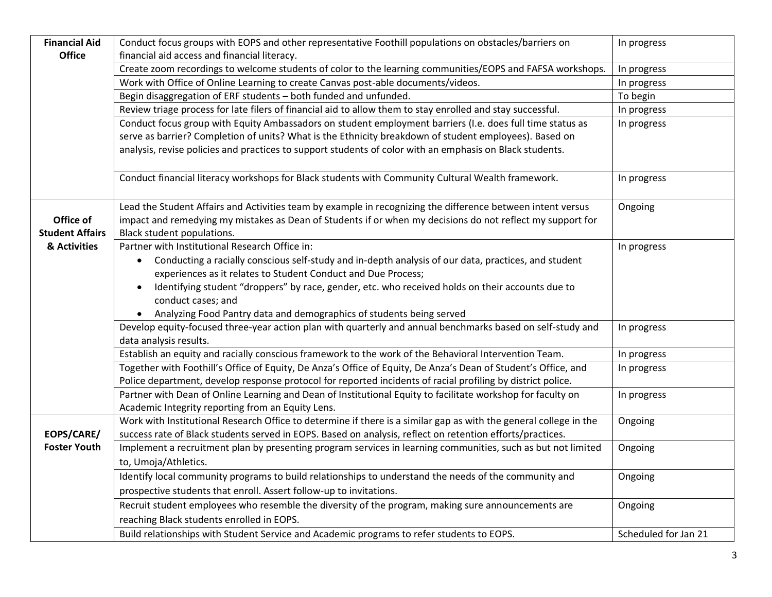| <b>Financial Aid</b>   | Conduct focus groups with EOPS and other representative Foothill populations on obstacles/barriers on             | In progress          |
|------------------------|-------------------------------------------------------------------------------------------------------------------|----------------------|
| <b>Office</b>          | financial aid access and financial literacy.                                                                      |                      |
|                        | Create zoom recordings to welcome students of color to the learning communities/EOPS and FAFSA workshops.         | In progress          |
|                        | Work with Office of Online Learning to create Canvas post-able documents/videos.                                  | In progress          |
|                        | Begin disaggregation of ERF students - both funded and unfunded.                                                  | To begin             |
|                        | Review triage process for late filers of financial aid to allow them to stay enrolled and stay successful.        | In progress          |
|                        | Conduct focus group with Equity Ambassadors on student employment barriers (I.e. does full time status as         | In progress          |
|                        | serve as barrier? Completion of units? What is the Ethnicity breakdown of student employees). Based on            |                      |
|                        | analysis, revise policies and practices to support students of color with an emphasis on Black students.          |                      |
|                        |                                                                                                                   |                      |
|                        | Conduct financial literacy workshops for Black students with Community Cultural Wealth framework.                 | In progress          |
|                        |                                                                                                                   |                      |
|                        | Lead the Student Affairs and Activities team by example in recognizing the difference between intent versus       | Ongoing              |
| Office of              | impact and remedying my mistakes as Dean of Students if or when my decisions do not reflect my support for        |                      |
| <b>Student Affairs</b> | Black student populations.                                                                                        |                      |
| & Activities           | Partner with Institutional Research Office in:                                                                    | In progress          |
|                        | Conducting a racially conscious self-study and in-depth analysis of our data, practices, and student<br>$\bullet$ |                      |
|                        | experiences as it relates to Student Conduct and Due Process;                                                     |                      |
|                        | Identifying student "droppers" by race, gender, etc. who received holds on their accounts due to<br>$\bullet$     |                      |
|                        | conduct cases; and                                                                                                |                      |
|                        | • Analyzing Food Pantry data and demographics of students being served                                            |                      |
|                        | Develop equity-focused three-year action plan with quarterly and annual benchmarks based on self-study and        | In progress          |
|                        | data analysis results.                                                                                            |                      |
|                        | Establish an equity and racially conscious framework to the work of the Behavioral Intervention Team.             | In progress          |
|                        | Together with Foothill's Office of Equity, De Anza's Office of Equity, De Anza's Dean of Student's Office, and    | In progress          |
|                        | Police department, develop response protocol for reported incidents of racial profiling by district police.       |                      |
|                        | Partner with Dean of Online Learning and Dean of Institutional Equity to facilitate workshop for faculty on       | In progress          |
|                        | Academic Integrity reporting from an Equity Lens.                                                                 |                      |
|                        | Work with Institutional Research Office to determine if there is a similar gap as with the general college in the | Ongoing              |
| EOPS/CARE/             | success rate of Black students served in EOPS. Based on analysis, reflect on retention efforts/practices.         |                      |
| <b>Foster Youth</b>    | Implement a recruitment plan by presenting program services in learning communities, such as but not limited      | Ongoing              |
|                        | to, Umoja/Athletics.                                                                                              |                      |
|                        | Identify local community programs to build relationships to understand the needs of the community and             | Ongoing              |
|                        | prospective students that enroll. Assert follow-up to invitations.                                                |                      |
|                        | Recruit student employees who resemble the diversity of the program, making sure announcements are                | Ongoing              |
|                        | reaching Black students enrolled in EOPS.                                                                         |                      |
|                        |                                                                                                                   |                      |
|                        | Build relationships with Student Service and Academic programs to refer students to EOPS.                         | Scheduled for Jan 21 |